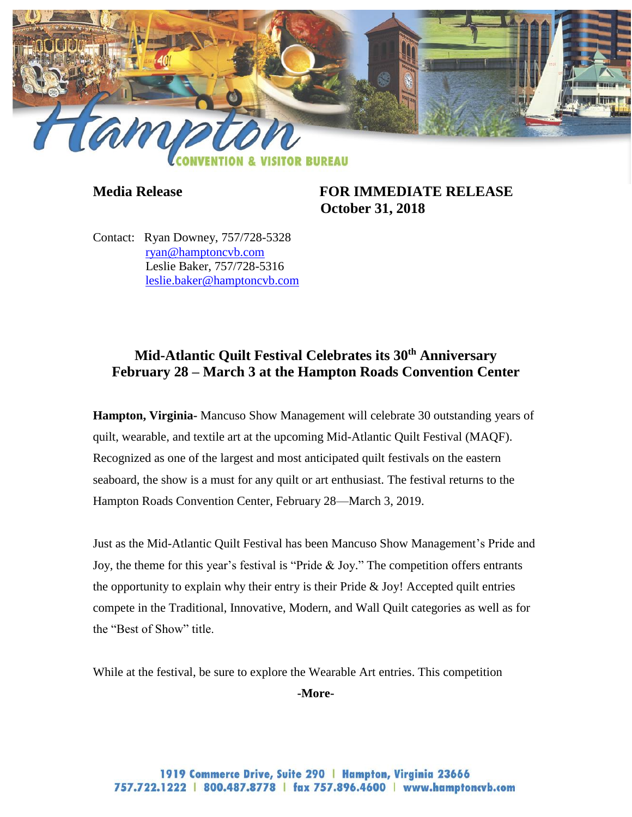

**Media Release FOR IMMEDIATE RELEASE October 31, 2018**

Contact: Ryan Downey, 757/728-5328 [ryan@hamptoncvb.com](mailto:ryan@hamptoncvb.com) Leslie Baker, 757/728-5316 [leslie.baker@hamptoncvb.com](mailto:leslie.baker@hamptoncvb.com)

## **Mid-Atlantic Quilt Festival Celebrates its 30th Anniversary February 28 – March 3 at the Hampton Roads Convention Center**

**Hampton, Virginia-** Mancuso Show Management will celebrate 30 outstanding years of quilt, wearable, and textile art at the upcoming Mid-Atlantic Quilt Festival (MAQF). Recognized as one of the largest and most anticipated quilt festivals on the eastern seaboard, the show is a must for any quilt or art enthusiast. The festival returns to the Hampton Roads Convention Center, February 28—March 3, 2019.

Just as the Mid-Atlantic Quilt Festival has been Mancuso Show Management's Pride and Joy, the theme for this year's festival is "Pride & Joy." The competition offers entrants the opportunity to explain why their entry is their Pride  $&$  Joy! Accepted quilt entries compete in the Traditional, Innovative, Modern, and Wall Quilt categories as well as for the "Best of Show" title.

While at the festival, be sure to explore the Wearable Art entries. This competition

**-More-**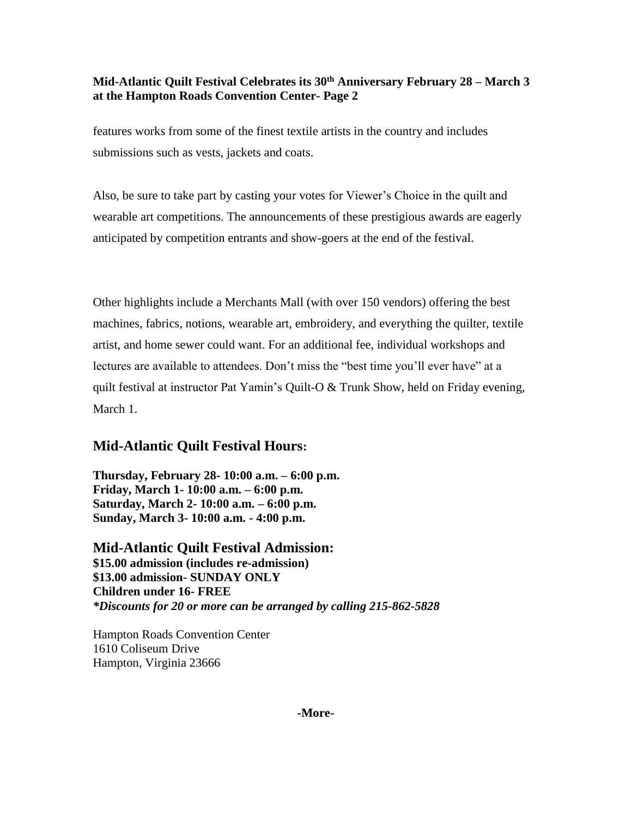## **Mid-Atlantic Quilt Festival Celebrates its 30th Anniversary February 28 – March 3 at the Hampton Roads Convention Center- Page 2**

features works from some of the finest textile artists in the country and includes submissions such as vests, jackets and coats.

Also, be sure to take part by casting your votes for Viewer's Choice in the quilt and wearable art competitions. The announcements of these prestigious awards are eagerly anticipated by competition entrants and show-goers at the end of the festival.

Other highlights include a Merchants Mall (with over 150 vendors) offering the best machines, fabrics, notions, wearable art, embroidery, and everything the quilter, textile artist, and home sewer could want. For an additional fee, individual workshops and lectures are available to attendees. Don't miss the "best time you'll ever have" at a quilt festival at instructor Pat Yamin's Quilt-O & Trunk Show, held on Friday evening, March 1.

## **Mid-Atlantic Quilt Festival Hours:**

**Thursday, February 28- 10:00 a.m. – 6:00 p.m. Friday, March 1- 10:00 a.m. – 6:00 p.m. Saturday, March 2- 10:00 a.m. – 6:00 p.m. Sunday, March 3- 10:00 a.m. - 4:00 p.m.**

**Mid-Atlantic Quilt Festival Admission: \$15.00 admission (includes re-admission) \$13.00 admission- SUNDAY ONLY Children under 16- FREE** *\*Discounts for 20 or more can be arranged by calling 215-862-5828*

Hampton Roads Convention Center 1610 Coliseum Drive Hampton, Virginia 23666